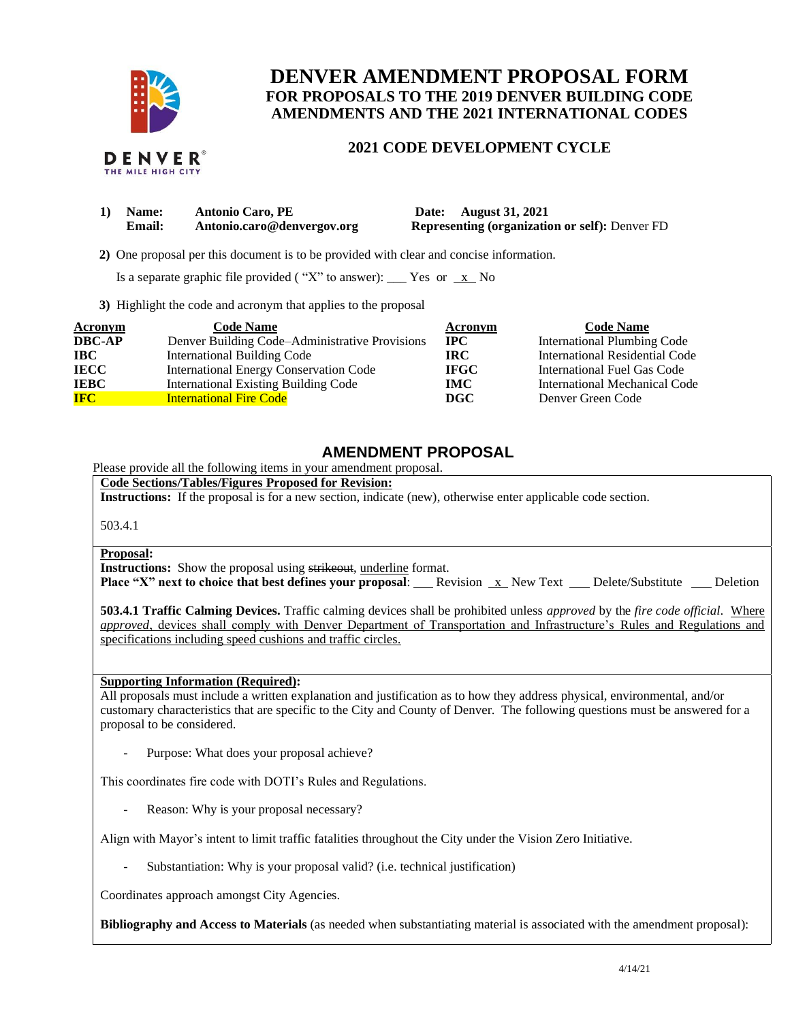

THE MILE HIGH CITY

# **DENVER AMENDMENT PROPOSAL FORM FOR PROPOSALS TO THE 2019 DENVER BUILDING CODE AMENDMENTS AND THE 2021 INTERNATIONAL CODES**

### **2021 CODE DEVELOPMENT CYCLE**

| 1) Name:      | <b>Antonio Caro, PE</b>    | Date: August 31, 2021                                 |
|---------------|----------------------------|-------------------------------------------------------|
| <b>Email:</b> | Antonio.caro@denvergov.org | <b>Representing (organization or self): Denver FD</b> |

 **2)** One proposal per this document is to be provided with clear and concise information.

Is a separate graphic file provided ("X" to answer): \_\_\_ Yes or  $x$  No

**3)** Highlight the code and acronym that applies to the proposal

| Acronym       | <b>Code Name</b>                               | Acronym     | <b>Code Name</b>               |
|---------------|------------------------------------------------|-------------|--------------------------------|
| <b>DBC-AP</b> | Denver Building Code–Administrative Provisions | <b>IPC</b>  | International Plumbing Code    |
| <b>IBC</b>    | <b>International Building Code</b>             | <b>IRC</b>  | International Residential Code |
| <b>IECC</b>   | International Energy Conservation Code         | <b>IFGC</b> | International Fuel Gas Code    |
| <b>IEBC</b>   | <b>International Existing Building Code</b>    | <b>IMC</b>  | International Mechanical Code  |
| <b>IFC</b>    | <b>International Fire Code</b>                 | DGC         | Denver Green Code              |

## **AMENDMENT PROPOSAL**

Please provide all the following items in your amendment proposal.

**Code Sections/Tables/Figures Proposed for Revision:**

**Instructions:** If the proposal is for a new section, indicate (new), otherwise enter applicable code section.

503.4.1

### **Proposal:**

**Instructions:** Show the proposal using strikeout, underline format.

**Place "X" next to choice that best defines your proposal:** Revision x New Text Delete/Substitute Deletion

**503.4.1 Traffic Calming Devices.** Traffic calming devices shall be prohibited unless *approved* by the *fire code official*. Where *approved*, devices shall comply with Denver Department of Transportation and Infrastructure's Rules and Regulations and specifications including speed cushions and traffic circles.

### **Supporting Information (Required):**

All proposals must include a written explanation and justification as to how they address physical, environmental, and/or customary characteristics that are specific to the City and County of Denver. The following questions must be answered for a proposal to be considered.

Purpose: What does your proposal achieve?

This coordinates fire code with DOTI's Rules and Regulations.

Reason: Why is your proposal necessary?

Align with Mayor's intent to limit traffic fatalities throughout the City under the Vision Zero Initiative.

Substantiation: Why is your proposal valid? (i.e. technical justification)

Coordinates approach amongst City Agencies.

**Bibliography and Access to Materials** (as needed when substantiating material is associated with the amendment proposal):